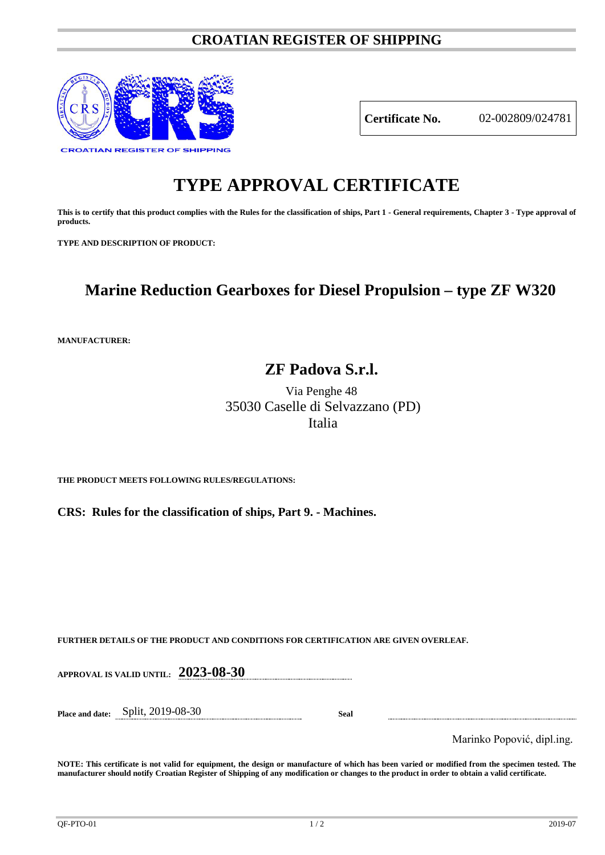## **CROATIAN REGISTER OF SHIPPING**



**Certificate No.** 02-002809/024781

# **TYPE APPROVAL CERTIFICATE**

**This is to certify that this product complies with the Rules for the classification of ships, Part 1 - General requirements, Chapter 3 - Type approval of products.**

**TYPE AND DESCRIPTION OF PRODUCT:** 

# **Marine Reduction Gearboxes for Diesel Propulsion – type ZF W320**

**MANUFACTURER:**

# **ZF Padova S.r.l.**

Via Penghe 48 35030 Caselle di Selvazzano (PD) Italia

**THE PRODUCT MEETS FOLLOWING RULES/REGULATIONS:**

**CRS: Rules for the classification of ships, Part 9. - Machines.**

**FURTHER DETAILS OF THE PRODUCT AND CONDITIONS FOR CERTIFICATION ARE GIVEN OVERLEAF.**

**APPROVAL IS VALID UNTIL: 2023-08-30**

**Place and date:** Split, 2019-08-30 **Seal**

Marinko Popović, dipl.ing.

**NOTE: This certificate is not valid for equipment, the design or manufacture of which has been varied or modified from the specimen tested. The manufacturer should notify Croatian Register of Shipping of any modification or changes to the product in order to obtain a valid certificate.**